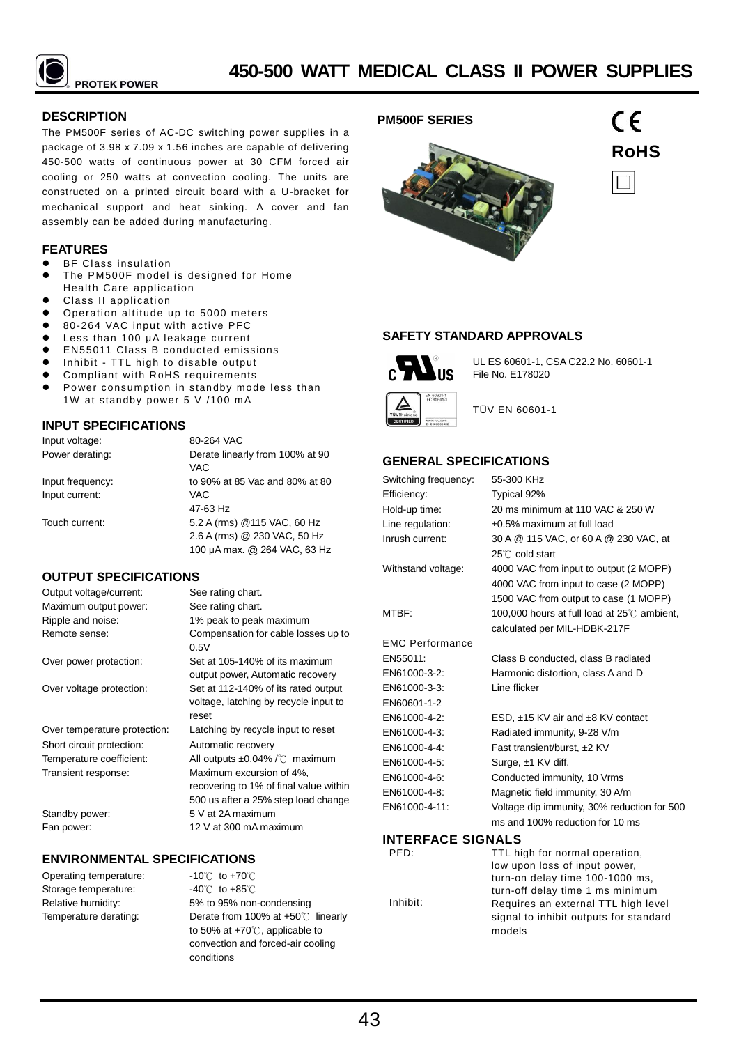

## **DESCRIPTION**

The PM500F series of AC-DC switching power supplies in a package of 3.98 x 7.09 x 1.56 inches are capable of delivering 450-500 watts of continuous power at 30 CFM forced air cooling or 250 watts at convection cooling. The units are constructed on a printed circuit board with a U-bracket for mechanical support and heat sinking. A cover and fan assembly can be added during manufacturing.

## **FEATURES**

- BF Class insulation
- The PM500F model is designed for Home Health Care application
- Class II application
- Operation altitude up to 5000 meters
- 80-264 VAC input with active PFC
- Less than 100 μA leakage current
- EN55011 Class B conducted emissions
- Inhibit TTL high to disable output
- Compliant with RoHS requirements Power consumption in standby mode less than 1W at standby power 5 V /100 mA

## **INPUT SPECIFICATIONS**

| Input voltage:   | 80-264 VAC                      |
|------------------|---------------------------------|
| Power derating:  | Derate linearly from 100% at 90 |
|                  | VAC.                            |
| Input frequency: | to 90% at 85 Vac and 80% at 80  |
| Input current:   | VAC.                            |
|                  | 47-63 Hz                        |
| Touch current:   | 5.2 A (rms) @ 115 VAC, 60 Hz    |
|                  | 2.6 A (rms) @ 230 VAC, 50 Hz    |
|                  | 100 µA max. @ 264 VAC, 63 Hz    |

## **OUTPUT SPECIFICATIONS**

| Output voltage/current:      | See rating chart.                                                                     |
|------------------------------|---------------------------------------------------------------------------------------|
| Maximum output power:        | See rating chart.                                                                     |
| Ripple and noise:            | 1% peak to peak maximum                                                               |
| Remote sense:                | Compensation for cable losses up to<br>0.5V                                           |
| Over power protection:       | Set at 105-140% of its maximum<br>output power, Automatic recovery                    |
| Over voltage protection:     | Set at 112-140% of its rated output<br>voltage, latching by recycle input to<br>reset |
| Over temperature protection: | Latching by recycle input to reset                                                    |
| Short circuit protection:    | Automatic recovery                                                                    |
| Temperature coefficient:     | All outputs $\pm 0.04\%$ / $\degree$ maximum                                          |
| Transient response:          | Maximum excursion of 4%.                                                              |
|                              | recovering to 1% of final value within                                                |
|                              | 500 us after a 25% step load change                                                   |
| Standby power:               | 5 V at 2A maximum                                                                     |
| Fan power:                   | 12 V at 300 mA maximum                                                                |

## **ENVIRONMENTAL SPECIFICATIONS**

Operating temperature: Storage temperature: Relative humidity: Temperature derating:

-10℃ to +70℃ -40℃ to +85℃ 5% to 95% non-condensing Derate from 100% at +50℃ linearly to 50% at +70℃, applicable to convection and forced-air cooling conditions





**SAFETY STANDARD APPROVALS**



UL ES 60601-1, CSA C22.2 No. 60601-1 File No. E178020

**RoHS**

 $C \in$ 



TÜV EN 60601-1

## **GENERAL SPECIFICATIONS**

| Switching frequency:   | 55-300 KHz                                  |  |  |  |  |
|------------------------|---------------------------------------------|--|--|--|--|
| Efficiency:            | Typical 92%                                 |  |  |  |  |
| Hold-up time:          | 20 ms minimum at 110 VAC & 250 W            |  |  |  |  |
| Line regulation:       | $\pm 0.5\%$ maximum at full load            |  |  |  |  |
| Inrush current:        | 30 A @ 115 VAC, or 60 A @ 230 VAC, at       |  |  |  |  |
|                        | $25^{\circ}$ C cold start                   |  |  |  |  |
| Withstand voltage:     | 4000 VAC from input to output (2 MOPP)      |  |  |  |  |
|                        | 4000 VAC from input to case (2 MOPP)        |  |  |  |  |
|                        | 1500 VAC from output to case (1 MOPP)       |  |  |  |  |
| MTBF:                  | 100,000 hours at full load at 25°C ambient, |  |  |  |  |
|                        | calculated per MIL-HDBK-217F                |  |  |  |  |
| <b>EMC Performance</b> |                                             |  |  |  |  |
| EN55011:               | Class B conducted, class B radiated         |  |  |  |  |
| EN61000-3-2:           | Harmonic distortion, class A and D          |  |  |  |  |
| EN61000-3-3:           | Line flicker                                |  |  |  |  |
| EN60601-1-2            |                                             |  |  |  |  |
| EN61000-4-2:           | ESD, $\pm$ 15 KV air and $\pm$ 8 KV contact |  |  |  |  |
| EN61000-4-3:           | Radiated immunity, 9-28 V/m                 |  |  |  |  |
| EN61000-4-4:           | Fast transient/burst, ±2 KV                 |  |  |  |  |
| EN61000-4-5:           | Surge, ±1 KV diff.                          |  |  |  |  |
| EN61000-4-6:           | Conducted immunity, 10 Vrms                 |  |  |  |  |
| EN61000-4-8:           | Magnetic field immunity, 30 A/m             |  |  |  |  |
| EN61000-4-11:          | Voltage dip immunity, 30% reduction for 500 |  |  |  |  |
|                        | ms and 100% reduction for 10 ms             |  |  |  |  |
| INTERFACE SIGNALS      |                                             |  |  |  |  |

## **INTERFACE SIGNALS**

| PFD:     | TTL high for normal operation,         |
|----------|----------------------------------------|
|          | low upon loss of input power,          |
|          | turn-on delay time 100-1000 ms,        |
|          | turn-off delay time 1 ms minimum       |
| Inhibit: | Requires an external TTL high level    |
|          | signal to inhibit outputs for standard |
|          | models                                 |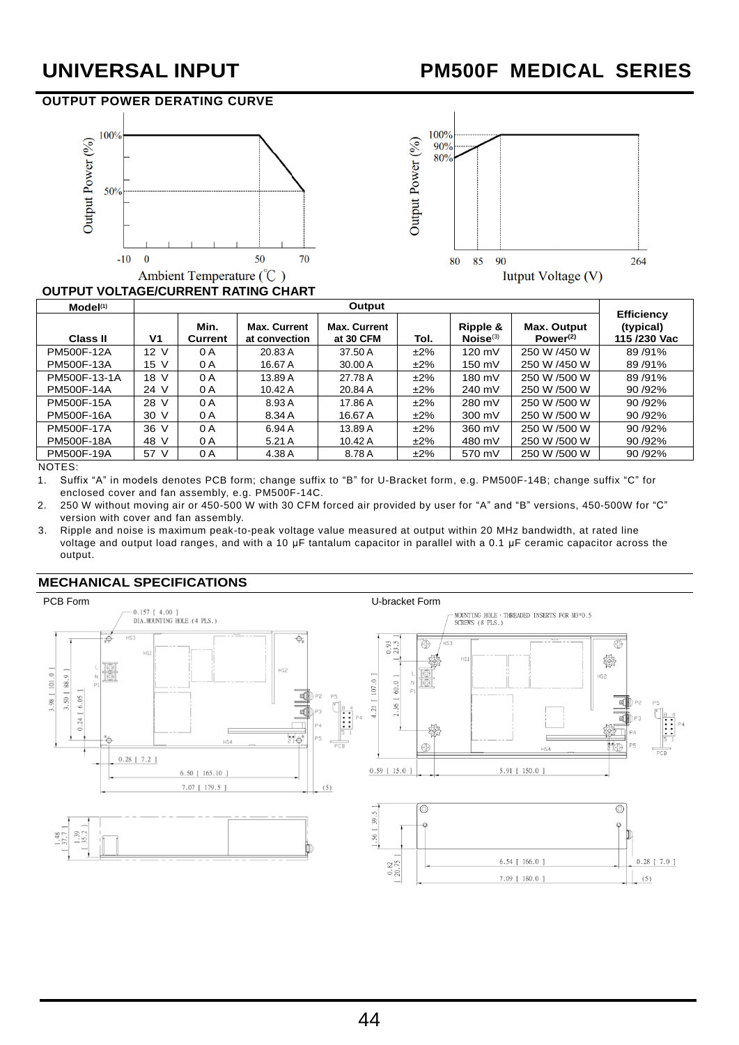# **UNIVERSAL INPUT PM500F MEDICAL SERIES**

# **OUTPUT POWER DERATING CURVE**





# **OUTPUT VOLTAGE/CURRENT RATING CHART**

| Model(1)        | Output         |                 |                                      |                                  |        |                           |                                     |                                                |
|-----------------|----------------|-----------------|--------------------------------------|----------------------------------|--------|---------------------------|-------------------------------------|------------------------------------------------|
| <b>Class II</b> | V <sub>1</sub> | Min.<br>Current | <b>Max. Current</b><br>at convection | <b>Max. Current</b><br>at 30 CFM | Tol.   | Ripple &<br>$Noise^{(3)}$ | Max. Output<br>Power <sup>(2)</sup> | <b>Efficiency</b><br>(typical)<br>115 /230 Vac |
| PM500F-12A      | 12 V           | 0 A             | 20.83 A                              | 37.50 A                          | $±2\%$ | 120 mV                    | 250 W /450 W                        | 89/91%                                         |
| PM500F-13A      | 15 V           | 0 A             | 16.67 A                              | 30.00 A                          | $±2\%$ | 150 mV                    | 250 W /450 W                        | 89/91%                                         |
| PM500F-13-1A    | 18 V           | 0 A             | 13.89 A                              | 27.78 A                          | ±2%    | 180 mV                    | 250 W /500 W                        | 89/91%                                         |
| PM500F-14A      | 24 V           | 0 A             | 10.42 A                              | 20.84 A                          | $±2\%$ | 240 mV                    | 250 W /500 W                        | 90 /92%                                        |
| PM500F-15A      | 28 V           | 0 A             | 8.93 A                               | 17.86 A                          | ±2%    | 280 mV                    | 250 W /500 W                        | 90 / 92%                                       |
| PM500F-16A      | 30 V           | 0 A             | 8.34 A                               | 16.67 A                          | $±2\%$ | 300 mV                    | 250 W /500 W                        | 90 /92%                                        |
| PM500F-17A      | 36 V           | 0 A             | 6.94 A                               | 13.89 A                          | $±2\%$ | 360 mV                    | 250 W /500 W                        | 90 /92%                                        |
| PM500F-18A      | 48 V           | 0 A             | 5.21A                                | 10.42A                           | $±2\%$ | 480 mV                    | 250 W /500 W                        | 90 / 92%                                       |
| PM500F-19A      | 57 V           | 0 A             | 4.38 A                               | 8.78 A                           | $±2\%$ | 570 mV                    | 250 W /500 W                        | 90 / 92%                                       |

NOTES:

1. Suffix "A" in models denotes PCB form; change suffix to "B" for U-Bracket form, e.g. PM500F-14B; change suffix "C" for enclosed cover and fan assembly, e.g. PM500F-14C.

2. 250 W without moving air or 450-500 W with 30 CFM forced air provided by user for "A" and "B" versions, 450-500W for "C" version with cover and fan assembly.

3. Ripple and noise is maximum peak-to-peak voltage value measured at output within 20 MHz bandwidth, at rated line voltage and output load ranges, and with a 10 μF tantalum capacitor in parallel with a 0.1 μF ceramic capacitor across the output.



## **MECHANICAL SPECIFICATIONS**